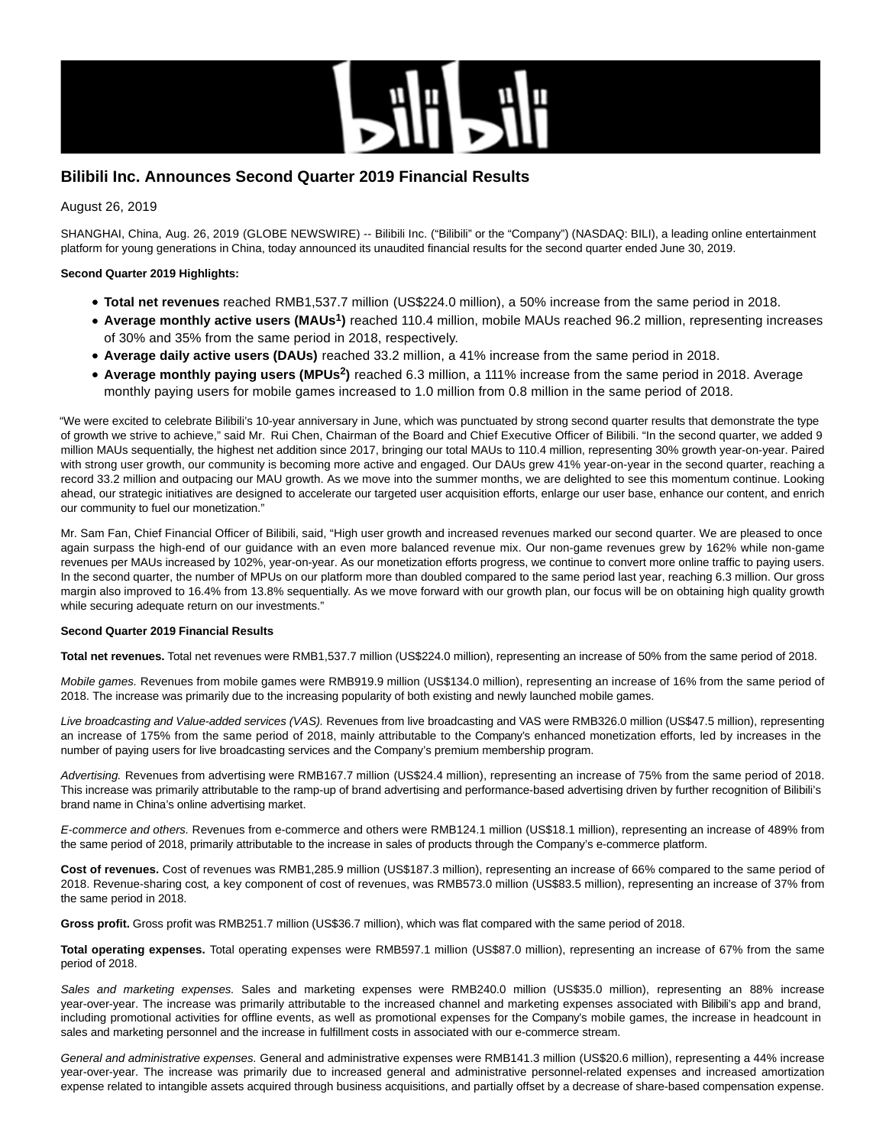

# **Bilibili Inc. Announces Second Quarter 2019 Financial Results**

August 26, 2019

SHANGHAI, China, Aug. 26, 2019 (GLOBE NEWSWIRE) -- Bilibili Inc. ("Bilibili" or the "Company") (NASDAQ: BILI), a leading online entertainment platform for young generations in China, today announced its unaudited financial results for the second quarter ended June 30, 2019.

## **Second Quarter 2019 Highlights:**

- **Total net revenues** reached RMB1,537.7 million (US\$224.0 million), a 50% increase from the same period in 2018.
- **Average monthly active users (MAUs<sup>1</sup> )** reached 110.4 million, mobile MAUs reached 96.2 million, representing increases of 30% and 35% from the same period in 2018, respectively.
- **Average daily active users (DAUs)** reached 33.2 million, a 41% increase from the same period in 2018.
- **Average monthly paying users (MPUs<sup>2</sup> )** reached 6.3 million, a 111% increase from the same period in 2018. Average monthly paying users for mobile games increased to 1.0 million from 0.8 million in the same period of 2018.

"We were excited to celebrate Bilibili's 10-year anniversary in June, which was punctuated by strong second quarter results that demonstrate the type of growth we strive to achieve," said Mr. Rui Chen, Chairman of the Board and Chief Executive Officer of Bilibili. "In the second quarter, we added 9 million MAUs sequentially, the highest net addition since 2017, bringing our total MAUs to 110.4 million, representing 30% growth year-on-year. Paired with strong user growth, our community is becoming more active and engaged. Our DAUs grew 41% year-on-year in the second quarter, reaching a record 33.2 million and outpacing our MAU growth. As we move into the summer months, we are delighted to see this momentum continue. Looking ahead, our strategic initiatives are designed to accelerate our targeted user acquisition efforts, enlarge our user base, enhance our content, and enrich our community to fuel our monetization."

Mr. Sam Fan, Chief Financial Officer of Bilibili, said, "High user growth and increased revenues marked our second quarter. We are pleased to once again surpass the high-end of our guidance with an even more balanced revenue mix. Our non-game revenues grew by 162% while non-game revenues per MAUs increased by 102%, year-on-year. As our monetization efforts progress, we continue to convert more online traffic to paying users. In the second quarter, the number of MPUs on our platform more than doubled compared to the same period last year, reaching 6.3 million. Our gross margin also improved to 16.4% from 13.8% sequentially. As we move forward with our growth plan, our focus will be on obtaining high quality growth while securing adequate return on our investments."

### **Second Quarter 2019 Financial Results**

**Total net revenues.** Total net revenues were RMB1,537.7 million (US\$224.0 million), representing an increase of 50% from the same period of 2018.

Mobile games. Revenues from mobile games were RMB919.9 million (US\$134.0 million), representing an increase of 16% from the same period of 2018. The increase was primarily due to the increasing popularity of both existing and newly launched mobile games.

Live broadcasting and Value-added services (VAS). Revenues from live broadcasting and VAS were RMB326.0 million (US\$47.5 million), representing an increase of 175% from the same period of 2018, mainly attributable to the Company's enhanced monetization efforts, led by increases in the number of paying users for live broadcasting services and the Company's premium membership program.

Advertising. Revenues from advertising were RMB167.7 million (US\$24.4 million), representing an increase of 75% from the same period of 2018. This increase was primarily attributable to the ramp-up of brand advertising and performance-based advertising driven by further recognition of Bilibili's brand name in China's online advertising market.

E-commerce and others. Revenues from e-commerce and others were RMB124.1 million (US\$18.1 million), representing an increase of 489% from the same period of 2018, primarily attributable to the increase in sales of products through the Company's e-commerce platform.

**Cost of revenues.** Cost of revenues was RMB1,285.9 million (US\$187.3 million), representing an increase of 66% compared to the same period of 2018. Revenue-sharing cost, a key component of cost of revenues, was RMB573.0 million (US\$83.5 million), representing an increase of 37% from the same period in 2018.

**Gross profit.** Gross profit was RMB251.7 million (US\$36.7 million), which was flat compared with the same period of 2018.

**Total operating expenses.** Total operating expenses were RMB597.1 million (US\$87.0 million), representing an increase of 67% from the same period of 2018.

Sales and marketing expenses. Sales and marketing expenses were RMB240.0 million (US\$35.0 million), representing an 88% increase year-over-year. The increase was primarily attributable to the increased channel and marketing expenses associated with Bilibili's app and brand, including promotional activities for offline events, as well as promotional expenses for the Company's mobile games, the increase in headcount in sales and marketing personnel and the increase in fulfillment costs in associated with our e-commerce stream.

General and administrative expenses. General and administrative expenses were RMB141.3 million (US\$20.6 million), representing a 44% increase year-over-year. The increase was primarily due to increased general and administrative personnel-related expenses and increased amortization expense related to intangible assets acquired through business acquisitions, and partially offset by a decrease of share-based compensation expense.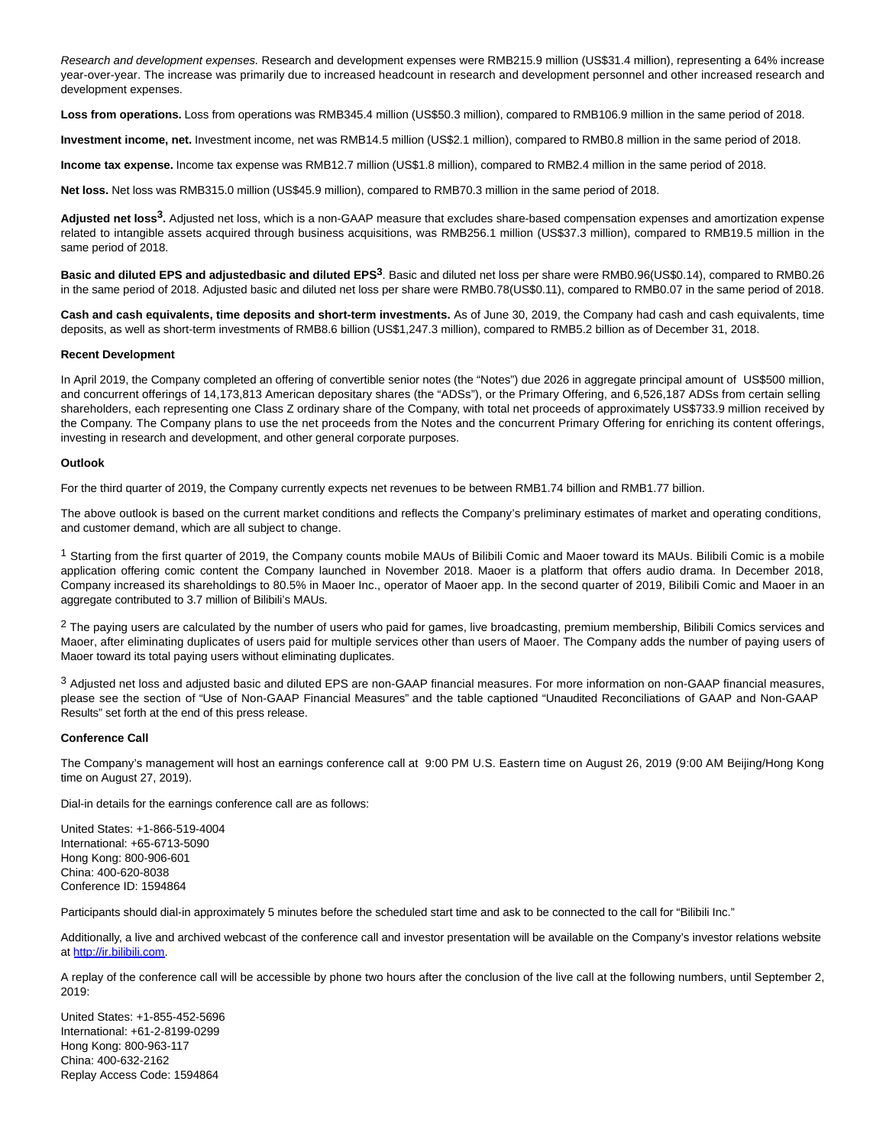Research and development expenses. Research and development expenses were RMB215.9 million (US\$31.4 million), representing a 64% increase year-over-year. The increase was primarily due to increased headcount in research and development personnel and other increased research and development expenses.

**Loss from operations.** Loss from operations was RMB345.4 million (US\$50.3 million), compared to RMB106.9 million in the same period of 2018.

**Investment income, net.** Investment income, net was RMB14.5 million (US\$2.1 million), compared to RMB0.8 million in the same period of 2018.

**Income tax expense.** Income tax expense was RMB12.7 million (US\$1.8 million), compared to RMB2.4 million in the same period of 2018.

**Net loss.** Net loss was RMB315.0 million (US\$45.9 million), compared to RMB70.3 million in the same period of 2018.

**Adjusted net loss3.** Adjusted net loss, which is a non-GAAP measure that excludes share-based compensation expenses and amortization expense related to intangible assets acquired through business acquisitions, was RMB256.1 million (US\$37.3 million), compared to RMB19.5 million in the same period of 2018.

**Basic and diluted EPS and adjustedbasic and diluted EPS3**. Basic and diluted net loss per share were RMB0.96(US\$0.14), compared to RMB0.26 in the same period of 2018. Adjusted basic and diluted net loss per share were RMB0.78(US\$0.11), compared to RMB0.07 in the same period of 2018.

**Cash and cash equivalents, time deposits and short-term investments.** As of June 30, 2019, the Company had cash and cash equivalents, time deposits, as well as short-term investments of RMB8.6 billion (US\$1,247.3 million), compared to RMB5.2 billion as of December 31, 2018.

#### **Recent Development**

In April 2019, the Company completed an offering of convertible senior notes (the "Notes") due 2026 in aggregate principal amount of US\$500 million, and concurrent offerings of 14,173,813 American depositary shares (the "ADSs"), or the Primary Offering, and 6,526,187 ADSs from certain selling shareholders, each representing one Class Z ordinary share of the Company, with total net proceeds of approximately US\$733.9 million received by the Company. The Company plans to use the net proceeds from the Notes and the concurrent Primary Offering for enriching its content offerings, investing in research and development, and other general corporate purposes.

### **Outlook**

For the third quarter of 2019, the Company currently expects net revenues to be between RMB1.74 billion and RMB1.77 billion.

The above outlook is based on the current market conditions and reflects the Company's preliminary estimates of market and operating conditions, and customer demand, which are all subject to change.

<sup>1</sup> Starting from the first quarter of 2019, the Company counts mobile MAUs of Bilibili Comic and Maoer toward its MAUs. Bilibili Comic is a mobile application offering comic content the Company launched in November 2018. Maoer is a platform that offers audio drama. In December 2018, Company increased its shareholdings to 80.5% in Maoer Inc., operator of Maoer app. In the second quarter of 2019, Bilibili Comic and Maoer in an aggregate contributed to 3.7 million of Bilibili's MAUs.

 $2$  The paying users are calculated by the number of users who paid for games, live broadcasting, premium membership, Bilibili Comics services and Maoer, after eliminating duplicates of users paid for multiple services other than users of Maoer. The Company adds the number of paying users of Maoer toward its total paying users without eliminating duplicates.

3 Adjusted net loss and adjusted basic and diluted EPS are non-GAAP financial measures. For more information on non-GAAP financial measures, please see the section of "Use of Non-GAAP Financial Measures" and the table captioned "Unaudited Reconciliations of GAAP and Non-GAAP Results" set forth at the end of this press release.

### **Conference Call**

The Company's management will host an earnings conference call at 9:00 PM U.S. Eastern time on August 26, 2019 (9:00 AM Beijing/Hong Kong time on August 27, 2019).

Dial-in details for the earnings conference call are as follows:

United States: +1-866-519-4004 International: +65-6713-5090 Hong Kong: 800-906-601 China: 400-620-8038 Conference ID: 1594864

Participants should dial-in approximately 5 minutes before the scheduled start time and ask to be connected to the call for "Bilibili Inc."

Additionally, a live and archived webcast of the conference call and investor presentation will be available on the Company's investor relations website at [http://ir.bilibili.com.](https://www.globenewswire.com/Tracker?data=JCMQZCSMES84d253g3-rgXorHlfSagICjGBkfQC_U1nToyNbZCkEkuNlB_e8sMWsWuwoosY4NZl1QMAQpcg1LGfBkQCMEIIosGo-RnF5xoHpz7VfNusRf1OOxx9KfH2KpmQxa7EiREDrJ-ryWvkOaayk5hN90wTkVYRHHVqTyLB967W9tbakNmxyhoELJzYt0cytD2D7fnNmFuXB8szu1I4y9qsY8Aq_oNil9w1kx-b11pTF3FT2wYmM2IQ8PdywhK5tWCczNpC1IYkE0NvglQ==)

A replay of the conference call will be accessible by phone two hours after the conclusion of the live call at the following numbers, until September 2, 2019:

United States: +1-855-452-5696 International: +61-2-8199-0299 Hong Kong: 800-963-117 China: 400-632-2162 Replay Access Code: 1594864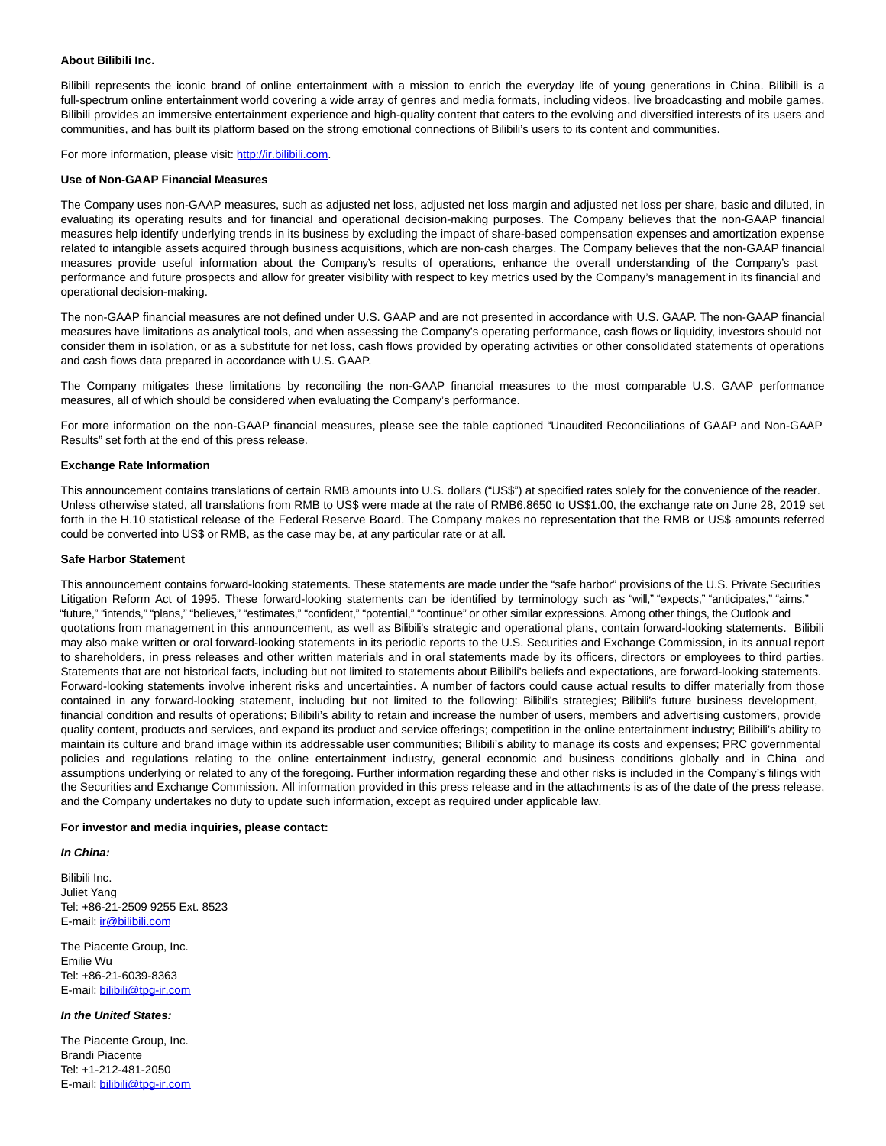#### **About Bilibili Inc.**

Bilibili represents the iconic brand of online entertainment with a mission to enrich the everyday life of young generations in China. Bilibili is a full-spectrum online entertainment world covering a wide array of genres and media formats, including videos, live broadcasting and mobile games. Bilibili provides an immersive entertainment experience and high-quality content that caters to the evolving and diversified interests of its users and communities, and has built its platform based on the strong emotional connections of Bilibili's users to its content and communities.

For more information, please visit: [http://ir.bilibili.com.](https://www.globenewswire.com/Tracker?data=JCMQZCSMES84d253g3-rgXorHlfSagICjGBkfQC_U1n1RyE0hSZwBvzAOvNWVEFidi0SCwMER8SiZOOqSDPTMIh3ONykzZh18xaLZssCePI=)

#### **Use of Non-GAAP Financial Measures**

The Company uses non-GAAP measures, such as adjusted net loss, adjusted net loss margin and adjusted net loss per share, basic and diluted, in evaluating its operating results and for financial and operational decision-making purposes. The Company believes that the non-GAAP financial measures help identify underlying trends in its business by excluding the impact of share-based compensation expenses and amortization expense related to intangible assets acquired through business acquisitions, which are non-cash charges. The Company believes that the non-GAAP financial measures provide useful information about the Company's results of operations, enhance the overall understanding of the Company's past performance and future prospects and allow for greater visibility with respect to key metrics used by the Company's management in its financial and operational decision-making.

The non-GAAP financial measures are not defined under U.S. GAAP and are not presented in accordance with U.S. GAAP. The non-GAAP financial measures have limitations as analytical tools, and when assessing the Company's operating performance, cash flows or liquidity, investors should not consider them in isolation, or as a substitute for net loss, cash flows provided by operating activities or other consolidated statements of operations and cash flows data prepared in accordance with U.S. GAAP.

The Company mitigates these limitations by reconciling the non-GAAP financial measures to the most comparable U.S. GAAP performance measures, all of which should be considered when evaluating the Company's performance.

For more information on the non-GAAP financial measures, please see the table captioned "Unaudited Reconciliations of GAAP and Non-GAAP Results" set forth at the end of this press release.

#### **Exchange Rate Information**

This announcement contains translations of certain RMB amounts into U.S. dollars ("US\$") at specified rates solely for the convenience of the reader. Unless otherwise stated, all translations from RMB to US\$ were made at the rate of RMB6.8650 to US\$1.00, the exchange rate on June 28, 2019 set forth in the H.10 statistical release of the Federal Reserve Board. The Company makes no representation that the RMB or US\$ amounts referred could be converted into US\$ or RMB, as the case may be, at any particular rate or at all.

#### **Safe Harbor Statement**

This announcement contains forward-looking statements. These statements are made under the "safe harbor" provisions of the U.S. Private Securities Litigation Reform Act of 1995. These forward-looking statements can be identified by terminology such as "will," "expects," "anticipates," "aims," "future," "intends," "plans," "believes," "estimates," "confident," "potential," "continue" or other similar expressions. Among other things, the Outlook and quotations from management in this announcement, as well as Bilibili's strategic and operational plans, contain forward-looking statements. Bilibili may also make written or oral forward-looking statements in its periodic reports to the U.S. Securities and Exchange Commission, in its annual report to shareholders, in press releases and other written materials and in oral statements made by its officers, directors or employees to third parties. Statements that are not historical facts, including but not limited to statements about Bilibili's beliefs and expectations, are forward-looking statements. Forward-looking statements involve inherent risks and uncertainties. A number of factors could cause actual results to differ materially from those contained in any forward-looking statement, including but not limited to the following: Bilibili's strategies; Bilibili's future business development, financial condition and results of operations; Bilibili's ability to retain and increase the number of users, members and advertising customers, provide quality content, products and services, and expand its product and service offerings; competition in the online entertainment industry; Bilibili's ability to maintain its culture and brand image within its addressable user communities; Bilibili's ability to manage its costs and expenses; PRC governmental policies and regulations relating to the online entertainment industry, general economic and business conditions globally and in China and assumptions underlying or related to any of the foregoing. Further information regarding these and other risks is included in the Company's filings with the Securities and Exchange Commission. All information provided in this press release and in the attachments is as of the date of the press release, and the Company undertakes no duty to update such information, except as required under applicable law.

#### **For investor and media inquiries, please contact:**

**In China:**

Bilibili Inc. Juliet Yang Tel: +86-21-2509 9255 Ext. 8523 E-mail: [ir@bilibili.com](mailto:ir@bilibili.com)

The Piacente Group, Inc. Emilie Wu Tel: +86-21-6039-8363 E-mail: [bilibili@tpg-ir.com](mailto:bilibili@tpg-ir.com)

### **In the United States:**

The Piacente Group, Inc. Brandi Piacente Tel: +1-212-481-2050 E-mail: [bilibili@tpg-ir.com](mailto:bilibili@tpg-ir.com)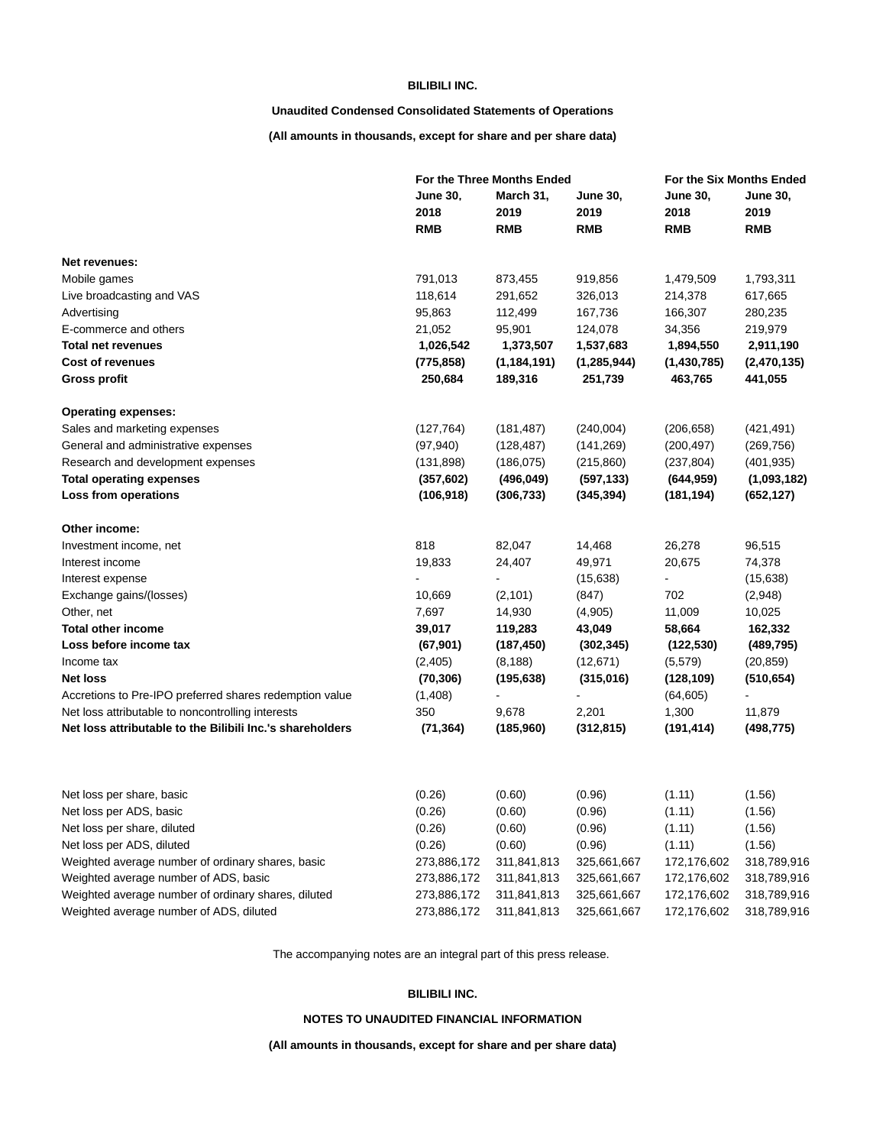## **BILIBILI INC.**

# **Unaudited Condensed Consolidated Statements of Operations**

**(All amounts in thousands, except for share and per share data)**

|                                                           |                 | For the Three Months Ended |                 |                 | For the Six Months Ended |  |  |
|-----------------------------------------------------------|-----------------|----------------------------|-----------------|-----------------|--------------------------|--|--|
|                                                           | <b>June 30.</b> | March 31,                  | <b>June 30,</b> | <b>June 30,</b> | <b>June 30,</b>          |  |  |
|                                                           | 2018            | 2019                       | 2019            | 2018            | 2019                     |  |  |
|                                                           | <b>RMB</b>      | <b>RMB</b>                 | <b>RMB</b>      | <b>RMB</b>      | <b>RMB</b>               |  |  |
| Net revenues:                                             |                 |                            |                 |                 |                          |  |  |
| Mobile games                                              | 791,013         | 873,455                    | 919,856         | 1,479,509       | 1,793,311                |  |  |
| Live broadcasting and VAS                                 | 118,614         | 291,652                    | 326,013         | 214,378         | 617,665                  |  |  |
| Advertising                                               | 95,863          | 112,499                    | 167,736         | 166,307         | 280,235                  |  |  |
| E-commerce and others                                     | 21,052          | 95,901                     | 124,078         | 34,356          | 219,979                  |  |  |
| <b>Total net revenues</b>                                 | 1,026,542       | 1,373,507                  | 1,537,683       | 1,894,550       | 2,911,190                |  |  |
| <b>Cost of revenues</b>                                   | (775, 858)      | (1, 184, 191)              | (1, 285, 944)   | (1,430,785)     | (2,470,135)              |  |  |
| <b>Gross profit</b>                                       | 250,684         | 189,316                    | 251,739         | 463,765         | 441,055                  |  |  |
| <b>Operating expenses:</b>                                |                 |                            |                 |                 |                          |  |  |
| Sales and marketing expenses                              | (127, 764)      | (181, 487)                 | (240,004)       | (206, 658)      | (421, 491)               |  |  |
| General and administrative expenses                       | (97, 940)       | (128, 487)                 | (141, 269)      | (200, 497)      | (269, 756)               |  |  |
| Research and development expenses                         | (131, 898)      | (186, 075)                 | (215, 860)      | (237, 804)      | (401, 935)               |  |  |
| <b>Total operating expenses</b>                           | (357, 602)      | (496, 049)                 | (597, 133)      | (644, 959)      | (1,093,182)              |  |  |
| Loss from operations                                      | (106, 918)      | (306, 733)                 | (345, 394)      | (181, 194)      | (652, 127)               |  |  |
| Other income:                                             |                 |                            |                 |                 |                          |  |  |
| Investment income, net                                    | 818             | 82,047                     | 14,468          | 26,278          | 96,515                   |  |  |
| Interest income                                           | 19,833          | 24,407                     | 49,971          | 20,675          | 74,378                   |  |  |
| Interest expense                                          |                 |                            | (15,638)        | $\blacksquare$  | (15,638)                 |  |  |
| Exchange gains/(losses)                                   | 10,669          | (2,101)                    | (847)           | 702             | (2,948)                  |  |  |
| Other, net                                                | 7,697           | 14,930                     | (4,905)         | 11,009          | 10,025                   |  |  |
| <b>Total other income</b>                                 | 39,017          | 119,283                    | 43,049          | 58,664          | 162,332                  |  |  |
| Loss before income tax                                    | (67, 901)       | (187, 450)                 | (302, 345)      | (122, 530)      | (489, 795)               |  |  |
| Income tax                                                | (2,405)         | (8, 188)                   | (12, 671)       | (5, 579)        | (20, 859)                |  |  |
| <b>Net loss</b>                                           | (70, 306)       | (195, 638)                 | (315,016)       | (128, 109)      | (510, 654)               |  |  |
| Accretions to Pre-IPO preferred shares redemption value   | (1,408)         |                            |                 | (64, 605)       |                          |  |  |
| Net loss attributable to noncontrolling interests         | 350             | 9,678                      | 2,201           | 1,300           | 11,879                   |  |  |
| Net loss attributable to the Bilibili Inc.'s shareholders | (71, 364)       | (185,960)                  | (312, 815)      | (191, 414)      | (498, 775)               |  |  |
| Net loss per share, basic                                 | (0.26)          | (0.60)                     | (0.96)          | (1.11)          | (1.56)                   |  |  |
| Net loss per ADS, basic                                   | (0.26)          | (0.60)                     | (0.96)          | (1.11)          | (1.56)                   |  |  |
| Net loss per share, diluted                               | (0.26)          | (0.60)                     | (0.96)          | (1.11)          | (1.56)                   |  |  |
| Net loss per ADS, diluted                                 | (0.26)          | (0.60)                     | (0.96)          | (1.11)          | (1.56)                   |  |  |
| Weighted average number of ordinary shares, basic         | 273,886,172     | 311,841,813                | 325,661,667     | 172,176,602     | 318,789,916              |  |  |
| Weighted average number of ADS, basic                     | 273,886,172     | 311,841,813                | 325,661,667     | 172,176,602     | 318,789,916              |  |  |
| Weighted average number of ordinary shares, diluted       | 273,886,172     | 311,841,813                | 325,661,667     | 172,176,602     | 318,789,916              |  |  |
| Weighted average number of ADS, diluted                   | 273,886,172     | 311,841,813                | 325,661,667     | 172,176,602     | 318,789,916              |  |  |

The accompanying notes are an integral part of this press release.

## **BILIBILI INC.**

# **NOTES TO UNAUDITED FINANCIAL INFORMATION**

**(All amounts in thousands, except for share and per share data)**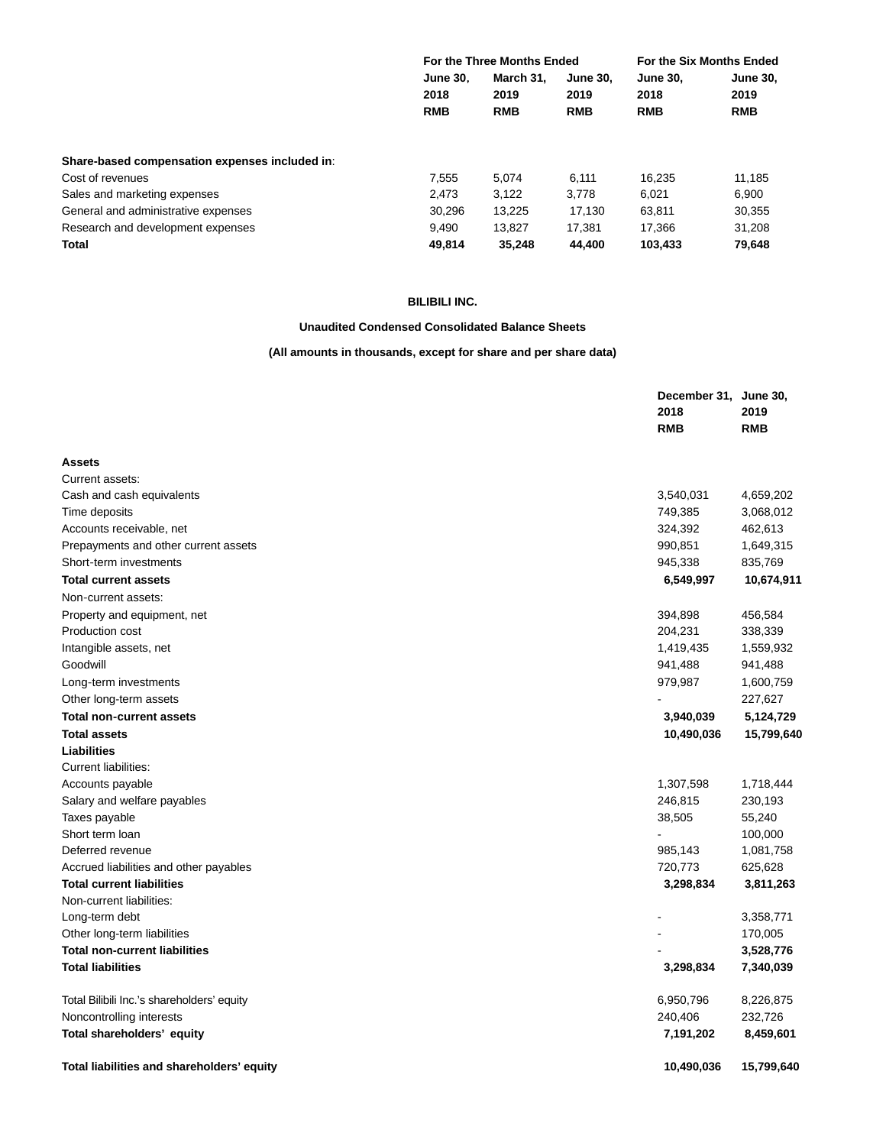|                                                | For the Three Months Ended            |                                 |                                       | For the Six Months Ended              |                                       |
|------------------------------------------------|---------------------------------------|---------------------------------|---------------------------------------|---------------------------------------|---------------------------------------|
|                                                | <b>June 30.</b><br>2018<br><b>RMB</b> | March 31.<br>2019<br><b>RMB</b> | <b>June 30.</b><br>2019<br><b>RMB</b> | <b>June 30.</b><br>2018<br><b>RMB</b> | <b>June 30,</b><br>2019<br><b>RMB</b> |
|                                                |                                       |                                 |                                       |                                       |                                       |
|                                                |                                       |                                 |                                       |                                       |                                       |
| Share-based compensation expenses included in: |                                       |                                 |                                       |                                       |                                       |
| Cost of revenues                               | 7.555                                 | 5.074                           | 6.111                                 | 16.235                                | 11.185                                |
| Sales and marketing expenses                   | 2.473                                 | 3.122                           | 3.778                                 | 6.021                                 | 6.900                                 |
| General and administrative expenses            | 30.296                                | 13.225                          | 17.130                                | 63.811                                | 30.355                                |
| Research and development expenses              | 9.490                                 | 13.827                          | 17.381                                | 17.366                                | 31.208                                |
| <b>Total</b>                                   | 49,814                                | 35,248                          | 44.400                                | 103,433                               | 79,648                                |

# **BILIBILI INC.**

# **Unaudited Condensed Consolidated Balance Sheets**

# **(All amounts in thousands, except for share and per share data)**

|                                            | December 31, June 30,<br>2018<br><b>RMB</b> | 2019<br><b>RMB</b> |
|--------------------------------------------|---------------------------------------------|--------------------|
| <b>Assets</b>                              |                                             |                    |
| Current assets:                            |                                             |                    |
| Cash and cash equivalents                  | 3,540,031                                   | 4,659,202          |
| Time deposits                              | 749,385                                     | 3,068,012          |
| Accounts receivable, net                   | 324,392                                     | 462,613            |
| Prepayments and other current assets       | 990,851                                     | 1,649,315          |
| Short-term investments                     | 945,338                                     | 835,769            |
| <b>Total current assets</b>                | 6,549,997                                   | 10,674,911         |
| Non-current assets:                        |                                             |                    |
| Property and equipment, net                | 394,898                                     | 456,584            |
| Production cost                            | 204,231                                     | 338,339            |
| Intangible assets, net                     | 1,419,435                                   | 1,559,932          |
| Goodwill                                   | 941,488                                     | 941,488            |
| Long-term investments                      | 979,987                                     | 1,600,759          |
| Other long-term assets                     |                                             | 227,627            |
| <b>Total non-current assets</b>            | 3,940,039                                   | 5,124,729          |
| <b>Total assets</b>                        | 10,490,036                                  | 15,799,640         |
| <b>Liabilities</b>                         |                                             |                    |
| Current liabilities:                       |                                             |                    |
| Accounts payable                           | 1,307,598                                   | 1,718,444          |
| Salary and welfare payables                | 246,815                                     | 230,193            |
| Taxes payable                              | 38,505                                      | 55,240             |
| Short term loan                            | $\mathbf{r}$                                | 100,000            |
| Deferred revenue                           | 985,143                                     | 1,081,758          |
| Accrued liabilities and other payables     | 720,773                                     | 625,628            |
| <b>Total current liabilities</b>           | 3,298,834                                   | 3,811,263          |
| Non-current liabilities:                   |                                             |                    |
| Long-term debt                             |                                             | 3,358,771          |
| Other long-term liabilities                |                                             | 170,005            |
| <b>Total non-current liabilities</b>       |                                             | 3,528,776          |
| <b>Total liabilities</b>                   | 3,298,834                                   | 7,340,039          |
| Total Bilibili Inc.'s shareholders' equity | 6,950,796                                   | 8,226,875          |
| Noncontrolling interests                   | 240,406                                     | 232,726            |
| Total shareholders' equity                 | 7,191,202                                   | 8,459,601          |
| Total liabilities and shareholders' equity | 10,490,036                                  | 15,799,640         |